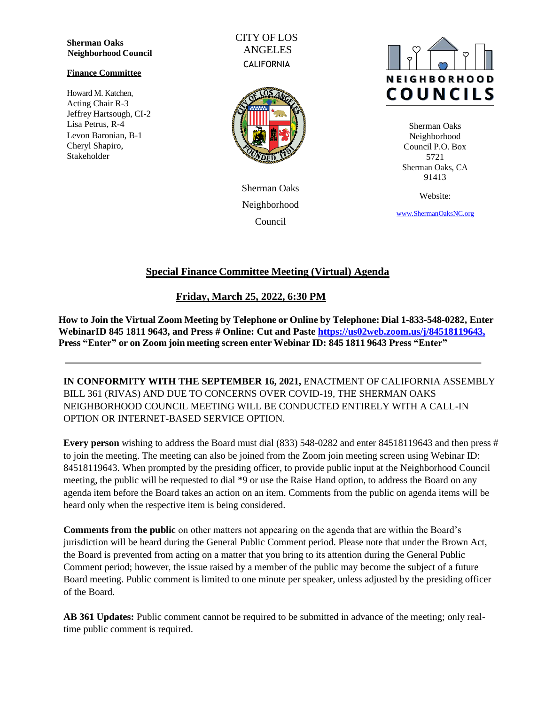**Sherman Oaks Neighborhood Council**

#### **Finance Committee**

Howard M. Katchen, Acting Chair R-3 Jeffrey Hartsough, CI-2 Lisa Petrus, R-4 Levon Baronian, B-1 Cheryl Shapiro, Stakeholder

CITY OF LOS ANGELES **CALIFORNIA** 



Sherman Oaks Neighborhood Council



Sherman Oaks Neighborhood Council P.O. Box 5721 Sherman Oaks, CA 91413

Website:

[www.ShermanOaksNC.](http://www.shermanoaksnc./)[org](http://www.shermanoaksnc.org/)

# **Special Finance Committee Meeting (Virtual) Agenda**

## **Friday, March 25, 2022, 6:30 PM**

**How to Join the Virtual Zoom Meeting by Telephone or Online by Telephone: Dial 1-833-548-0282, Enter WebinarID 845 1811 9643, and Press # Online: Cut and Paste [https://us02web.zoom.us/j/84518119643,](https://us02web.zoom.us/j/84518119643) Press "Enter" or on Zoom join meeting screen enter Webinar ID: 845 1811 9643 Press "Enter"**

**IN CONFORMITY WITH THE SEPTEMBER 16, 2021,** ENACTMENT OF CALIFORNIA ASSEMBLY BILL 361 (RIVAS) AND DUE TO CONCERNS OVER COVID-19, THE SHERMAN OAKS NEIGHBORHOOD COUNCIL MEETING WILL BE CONDUCTED ENTIRELY WITH A CALL-IN OPTION OR INTERNET-BASED SERVICE OPTION.

**Every person** wishing to address the Board must dial (833) 548-0282 and enter 84518119643 and then press # to join the meeting. The meeting can also be joined from the Zoom join meeting screen using Webinar ID: 84518119643. When prompted by the presiding officer, to provide public input at the Neighborhood Council meeting, the public will be requested to dial \*9 or use the Raise Hand option, to address the Board on any agenda item before the Board takes an action on an item. Comments from the public on agenda items will be heard only when the respective item is being considered.

**Comments from the public** on other matters not appearing on the agenda that are within the Board's jurisdiction will be heard during the General Public Comment period. Please note that under the Brown Act, the Board is prevented from acting on a matter that you bring to its attention during the General Public Comment period; however, the issue raised by a member of the public may become the subject of a future Board meeting. Public comment is limited to one minute per speaker, unless adjusted by the presiding officer of the Board.

**AB 361 Updates:** Public comment cannot be required to be submitted in advance of the meeting; only realtime public comment is required.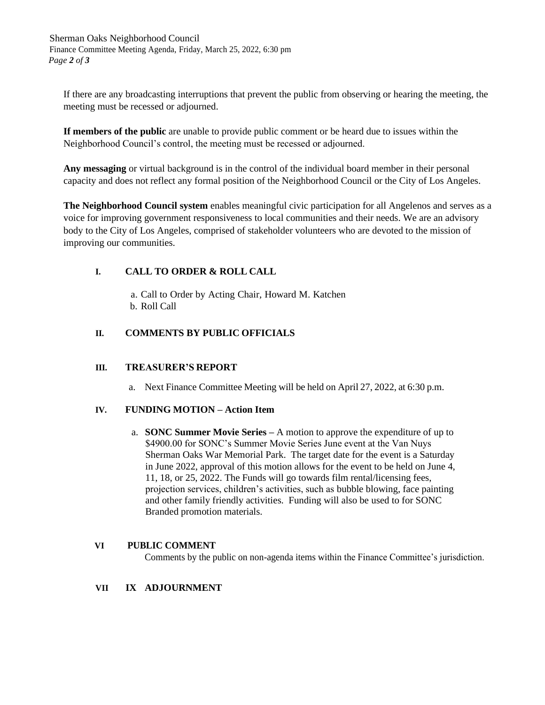Sherman Oaks Neighborhood Council Finance Committee Meeting Agenda, Friday, March 25, 2022, 6:30 pm *Page 2 of 3*

If there are any broadcasting interruptions that prevent the public from observing or hearing the meeting, the meeting must be recessed or adjourned.

**If members of the public** are unable to provide public comment or be heard due to issues within the Neighborhood Council's control, the meeting must be recessed or adjourned.

**Any messaging** or virtual background is in the control of the individual board member in their personal capacity and does not reflect any formal position of the Neighborhood Council or the City of Los Angeles.

**The Neighborhood Council system** enables meaningful civic participation for all Angelenos and serves as a voice for improving government responsiveness to local communities and their needs. We are an advisory body to the City of Los Angeles, comprised of stakeholder volunteers who are devoted to the mission of improving our communities.

## **I. CALL TO ORDER & ROLL CALL**

a. Call to Order by Acting Chair, Howard M. Katchen b. Roll Call

## **II. COMMENTS BY PUBLIC OFFICIALS**

## **III. TREASURER'S REPORT**

a. Next Finance Committee Meeting will be held on April 27, 2022, at 6:30 p.m.

### **IV. FUNDING MOTION – Action Item**

a. **SONC Summer Movie Series –** A motion to approve the expenditure of up to \$4900.00 for SONC's Summer Movie Series June event at the Van Nuys Sherman Oaks War Memorial Park. The target date for the event is a Saturday in June 2022, approval of this motion allows for the event to be held on June 4, 11, 18, or 25, 2022. The Funds will go towards film rental/licensing fees, projection services, children's activities, such as bubble blowing, face painting and other family friendly activities. Funding will also be used to for SONC Branded promotion materials.

### **VI PUBLIC COMMENT**

Comments by the public on non-agenda items within the Finance Committee's jurisdiction.

### **VII IX ADJOURNMENT**